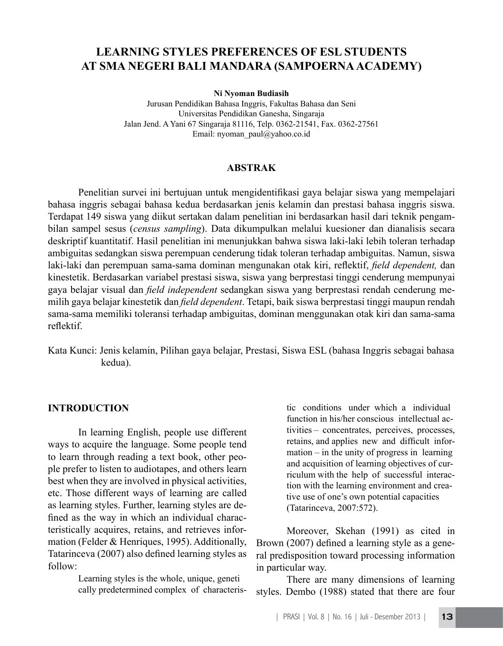# **LEARNING STYLES PREFERENCES OF ESL STUDENTS AT SMA NEGERI BALI MANDARA (SAMPOERNA ACADEMY)**

#### **Ni Nyoman Budiasih**

Jurusan Pendidikan Bahasa Inggris, Fakultas Bahasa dan Seni Universitas Pendidikan Ganesha, Singaraja Jalan Jend. A Yani 67 Singaraja 81116, Telp. 0362-21541, Fax. 0362-27561 Email: nyoman\_paul@yahoo.co.id

#### **ABSTRAK**

 Penelitian survei ini bertujuan untuk mengidentifikasi gaya belajar siswa yang mempelajari bahasa inggris sebagai bahasa kedua berdasarkan jenis kelamin dan prestasi bahasa inggris siswa. Terdapat 149 siswa yang diikut sertakan dalam penelitian ini berdasarkan hasil dari teknik pengambilan sampel sesus (*census sampling*). Data dikumpulkan melalui kuesioner dan dianalisis secara deskriptif kuantitatif. Hasil penelitian ini menunjukkan bahwa siswa laki-laki lebih toleran terhadap ambiguitas sedangkan siswa perempuan cenderung tidak toleran terhadap ambiguitas. Namun, siswa laki-laki dan perempuan sama-sama dominan mengunakan otak kiri, reflektif, *field dependent,* dan kinestetik. Berdasarkan variabel prestasi siswa, siswa yang berprestasi tinggi cenderung mempunyai gaya belajar visual dan *field independent* sedangkan siswa yang berprestasi rendah cenderung memilih gaya belajar kinestetik dan *field dependent*. Tetapi, baik siswa berprestasi tinggi maupun rendah sama-sama memiliki toleransi terhadap ambiguitas, dominan menggunakan otak kiri dan sama-sama reflektif.

Kata Kunci: Jenis kelamin, Pilihan gaya belajar, Prestasi, Siswa ESL (bahasa Inggris sebagai bahasa kedua).

#### **INTRODUCTION**

In learning English, people use different ways to acquire the language. Some people tend to learn through reading a text book, other people prefer to listen to audiotapes, and others learn best when they are involved in physical activities, etc. Those different ways of learning are called as learning styles. Further, learning styles are defined as the way in which an individual characteristically acquires, retains, and retrieves information (Felder & Henriques, 1995). Additionally, Tatarinceva (2007) also defined learning styles as follow:

> Learning styles is the whole, unique, geneti cally predetermined complex of characteris

 tic conditions under which a individual function in his/her conscious intellectual activities – concentrates, perceives, processes, retains, and applies new and difficult information – in the unity of progress in learning and acquisition of learning objectives of cur- riculum with the help of successful interac- tion with the learning environment and crea tive use of one's own potential capacities (Tatarinceva, 2007:572).

Moreover, Skehan (1991) as cited in Brown (2007) defined a learning style as a general predisposition toward processing information in particular way.

There are many dimensions of learning styles. Dembo (1988) stated that there are four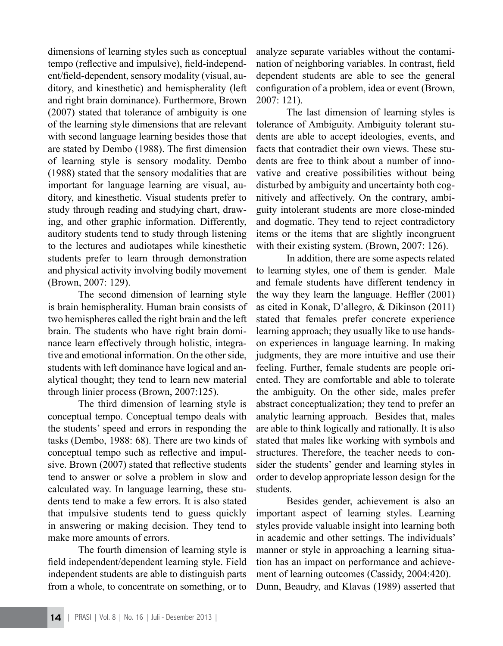dimensions of learning styles such as conceptual tempo (reflective and impulsive), field-independent/field-dependent, sensory modality (visual, auditory, and kinesthetic) and hemispherality (left and right brain dominance). Furthermore, Brown (2007) stated that tolerance of ambiguity is one of the learning style dimensions that are relevant with second language learning besides those that are stated by Dembo (1988). The first dimension of learning style is sensory modality. Dembo (1988) stated that the sensory modalities that are important for language learning are visual, auditory, and kinesthetic. Visual students prefer to study through reading and studying chart, drawing, and other graphic information. Differently, auditory students tend to study through listening to the lectures and audiotapes while kinesthetic students prefer to learn through demonstration and physical activity involving bodily movement (Brown, 2007: 129).

The second dimension of learning style is brain hemispherality. Human brain consists of two hemispheres called the right brain and the left brain. The students who have right brain dominance learn effectively through holistic, integrative and emotional information. On the other side, students with left dominance have logical and analytical thought; they tend to learn new material through linier process (Brown, 2007:125).

The third dimension of learning style is conceptual tempo. Conceptual tempo deals with the students' speed and errors in responding the tasks (Dembo, 1988: 68). There are two kinds of conceptual tempo such as reflective and impulsive. Brown (2007) stated that reflective students tend to answer or solve a problem in slow and calculated way. In language learning, these students tend to make a few errors. It is also stated that impulsive students tend to guess quickly in answering or making decision. They tend to make more amounts of errors.

The fourth dimension of learning style is field independent/dependent learning style. Field independent students are able to distinguish parts from a whole, to concentrate on something, or to analyze separate variables without the contamination of neighboring variables. In contrast, field dependent students are able to see the general configuration of a problem, idea or event (Brown, 2007: 121).

The last dimension of learning styles is tolerance of Ambiguity. Ambiguity tolerant students are able to accept ideologies, events, and facts that contradict their own views. These students are free to think about a number of innovative and creative possibilities without being disturbed by ambiguity and uncertainty both cognitively and affectively. On the contrary, ambiguity intolerant students are more close-minded and dogmatic. They tend to reject contradictory items or the items that are slightly incongruent with their existing system. (Brown, 2007: 126).

In addition, there are some aspects related to learning styles, one of them is gender. Male and female students have different tendency in the way they learn the language. Heffler (2001) as cited in Konak, D'allegro, & Dikinson (2011) stated that females prefer concrete experience learning approach; they usually like to use handson experiences in language learning. In making judgments, they are more intuitive and use their feeling. Further, female students are people oriented. They are comfortable and able to tolerate the ambiguity. On the other side, males prefer abstract conceptualization; they tend to prefer an analytic learning approach. Besides that, males are able to think logically and rationally. It is also stated that males like working with symbols and structures. Therefore, the teacher needs to consider the students' gender and learning styles in order to develop appropriate lesson design for the students.

Besides gender, achievement is also an important aspect of learning styles. Learning styles provide valuable insight into learning both in academic and other settings. The individuals' manner or style in approaching a learning situation has an impact on performance and achievement of learning outcomes (Cassidy, 2004:420). Dunn, Beaudry, and Klavas (1989) asserted that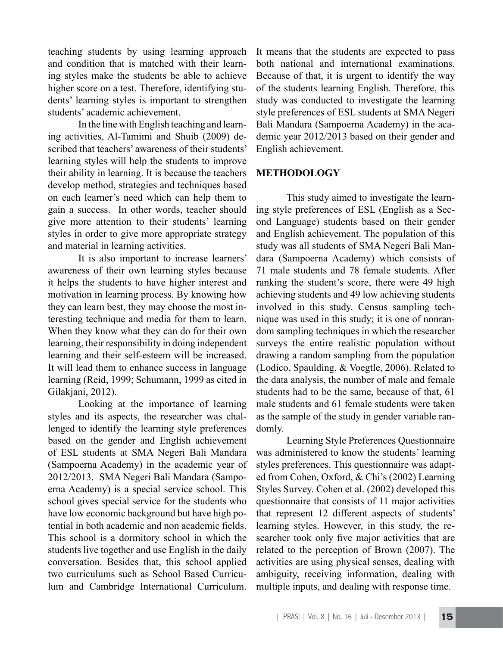teaching students by using learning approach and condition that is matched with their learning styles make the students be able to achieve higher score on a test. Therefore, identifying students' learning styles is important to strengthen students' academic achievement.

In the line with English teaching and learning activities, Al-Tamimi and Shuib (2009) described that teachers' awareness of their students' learning styles will help the students to improve their ability in learning. It is because the teachers develop method, strategies and techniques based on each learner's need which can help them to gain a success. In other words, teacher should give more attention to their students' learning styles in order to give more appropriate strategy and material in learning activities.

It is also important to increase learners' awareness of their own learning styles because it helps the students to have higher interest and motivation in learning process. By knowing how they can learn best, they may choose the most interesting technique and media for them to learn. When they know what they can do for their own learning, their responsibility in doing independent learning and their self-esteem will be increased. It will lead them to enhance success in language learning (Reid, 1999; Schumann, 1999 as cited in Gilakjani, 2012).

 Looking at the importance of learning styles and its aspects, the researcher was challenged to identify the learning style preferences based on the gender and English achievement of ESL students at SMA Negeri Bali Mandara (Sampoerna Academy) in the academic year of 2012/2013. SMA Negeri Bali Mandara (Sampoerna Academy) is a special service school. This school gives special service for the students who have low economic background but have high potential in both academic and non academic fields. This school is a dormitory school in which the students live together and use English in the daily conversation. Besides that, this school applied two curriculums such as School Based Curriculum and Cambridge International Curriculum.

It means that the students are expected to pass both national and international examinations. Because of that, it is urgent to identify the way of the students learning English. Therefore, this study was conducted to investigate the learning style preferences of ESL students at SMA Negeri Bali Mandara (Sampoerna Academy) in the academic year 2012/2013 based on their gender and English achievement.

### **METHODOLOGY**

This study aimed to investigate the learning style preferences of ESL (English as a Second Language) students based on their gender and English achievement. The population of this study was all students of SMA Negeri Bali Mandara (Sampoerna Academy) which consists of 71 male students and 78 female students. After ranking the student's score, there were 49 high achieving students and 49 low achieving students involved in this study. Census sampling technique was used in this study; it is one of nonrandom sampling techniques in which the researcher surveys the entire realistic population without drawing a random sampling from the population (Lodico, Spaulding, & Voegtle, 2006). Related to the data analysis, the number of male and female students had to be the same, because of that, 61 male students and 61 female students were taken as the sample of the study in gender variable randomly.

 Learning Style Preferences Questionnaire was administered to know the students' learning styles preferences. This questionnaire was adapted from Cohen, Oxford, & Chi's (2002) Learning Styles Survey. Cohen et al. (2002) developed this questionnaire that consists of 11 major activities that represent 12 different aspects of students' learning styles. However, in this study, the researcher took only five major activities that are related to the perception of Brown (2007). The activities are using physical senses, dealing with ambiguity, receiving information, dealing with multiple inputs, and dealing with response time.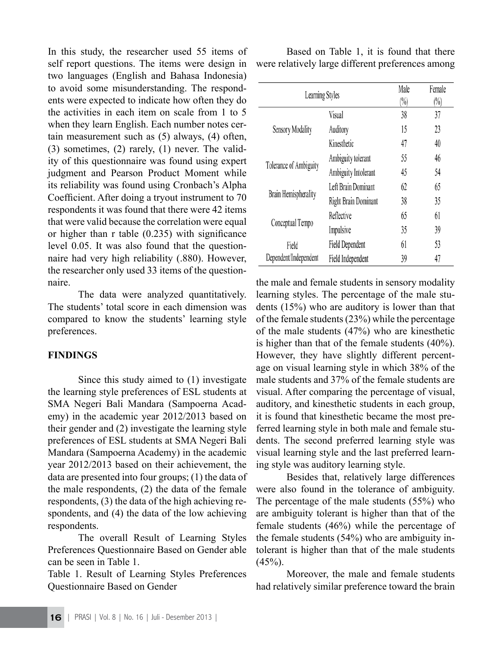In this study, the researcher used 55 items of self report questions. The items were design in two languages (English and Bahasa Indonesia) to avoid some misunderstanding. The respondents were expected to indicate how often they do the activities in each item on scale from 1 to 5 when they learn English. Each number notes certain measurement such as (5) always, (4) often, (3) sometimes, (2) rarely, (1) never. The validity of this questionnaire was found using expert judgment and Pearson Product Moment while its reliability was found using Cronbach's Alpha Coefficient. After doing a tryout instrument to 70 respondents it was found that there were 42 items that were valid because the correlation were equal or higher than r table (0.235) with significance level 0.05. It was also found that the questionnaire had very high reliability (.880). However, the researcher only used 33 items of the questionnaire.

 The data were analyzed quantitatively. The students' total score in each dimension was compared to know the students' learning style preferences.

#### **FINDINGS**

Since this study aimed to (1) investigate the learning style preferences of ESL students at SMA Negeri Bali Mandara (Sampoerna Academy) in the academic year 2012/2013 based on their gender and (2) investigate the learning style preferences of ESL students at SMA Negeri Bali Mandara (Sampoerna Academy) in the academic year 2012/2013 based on their achievement, the data are presented into four groups; (1) the data of the male respondents, (2) the data of the female respondents, (3) the data of the high achieving respondents, and (4) the data of the low achieving respondents.

 The overall Result of Learning Styles Preferences Questionnaire Based on Gender able can be seen in Table 1.

Table 1. Result of Learning Styles Preferences Questionnaire Based on Gender

Based on Table 1, it is found that there were relatively large different preferences among

| Learning Styles                |                      | Male<br>$(\%)$ | Female<br>$(\%)$ |
|--------------------------------|----------------------|----------------|------------------|
| Sensory Modality               | Visual               | 38             | 37               |
|                                | Auditory             | 15             | 23               |
|                                | Kinesthetic          | 47             | 40               |
| Tolerance of Ambiguity         | Ambiguity tolerant   | 55             | 46               |
|                                | Ambiguity Intolerant | 45             | 54               |
| Brain Hemispherality           | Left Brain Dominant  | 62             | 65               |
|                                | Right Brain Dominant | 38             | 35               |
| Conceptual Tempo               | Reflective           | 65             | 61               |
|                                | Impulsive            | 35             | 39               |
| Field<br>Dependent/Independent | Field Dependent      | 61             | 53               |
|                                | Field Independent    | 39             | 47               |

the male and female students in sensory modality learning styles. The percentage of the male students (15%) who are auditory is lower than that of the female students(23%) while the percentage of the male students (47%) who are kinesthetic is higher than that of the female students (40%). However, they have slightly different percentage on visual learning style in which 38% of the male students and 37% of the female students are visual. After comparing the percentage of visual, auditory, and kinesthetic students in each group, it is found that kinesthetic became the most preferred learning style in both male and female students. The second preferred learning style was visual learning style and the last preferred learning style was auditory learning style.

Besides that, relatively large differences were also found in the tolerance of ambiguity. The percentage of the male students (55%) who are ambiguity tolerant is higher than that of the female students (46%) while the percentage of the female students (54%) who are ambiguity intolerant is higher than that of the male students  $(45%)$ .

Moreover, the male and female students had relatively similar preference toward the brain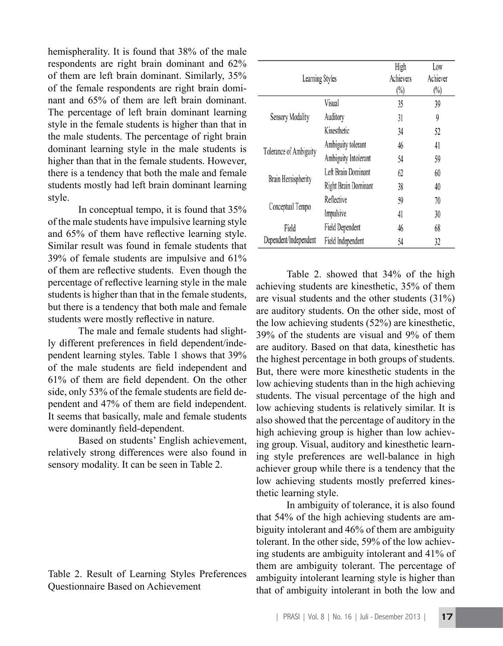hemispherality. It is found that 38% of the male respondents are right brain dominant and 62% of them are left brain dominant. Similarly, 35% of the female respondents are right brain dominant and 65% of them are left brain dominant. The percentage of left brain dominant learning style in the female students is higher than that in the male students. The percentage of right brain dominant learning style in the male students is higher than that in the female students. However, there is a tendency that both the male and female students mostly had left brain dominant learning style.

In conceptual tempo, it is found that 35% of the male students have impulsive learning style and 65% of them have reflective learning style. Similar result was found in female students that 39% of female students are impulsive and 61% of them are reflective students. Even though the percentage of reflective learning style in the male students is higher than that in the female students, but there is a tendency that both male and female students were mostly reflective in nature.

The male and female students had slightly different preferences in field dependent/independent learning styles. Table 1 shows that 39% of the male students are field independent and 61% of them are field dependent. On the other side, only 53% of the female students are field dependent and 47% of them are field independent. It seems that basically, male and female students were dominantly field-dependent.

Based on students' English achievement, relatively strong differences were also found in sensory modality. It can be seen in Table 2.

## Table 2. Result of Learning Styles Preferences Questionnaire Based on Achievement

| Learning Styles        |                      | High<br>Achievers<br>$(\%)$ | Low<br>Achiever<br>$\binom{0}{0}$ |
|------------------------|----------------------|-----------------------------|-----------------------------------|
| Sensory Modality       | Visual               | 35                          | 39                                |
|                        | Auditory             | 31                          | 9                                 |
|                        | Kinesthetic          | 34                          | 52                                |
| Tolerance of Ambiguity | Ambiguity tolerant   | 46                          | 41                                |
|                        | Ambiguity Intolerant | 54                          | 59                                |
| Brain Hemispherity     | Left Brain Dominant  | 62                          | 60                                |
|                        | Right Brain Dominant | 38                          | 40                                |
| Conceptual Tempo       | Reflective           | 59                          | 70                                |
|                        | Impulsive            | 41                          | 30                                |
| Field                  | Field Dependent      | 46                          | 68                                |
| Dependent/Independent  | Field Independent    | 54                          | 32                                |

 Table 2. showed that 34% of the high achieving students are kinesthetic, 35% of them are visual students and the other students (31%) are auditory students. On the other side, most of the low achieving students (52%) are kinesthetic, 39% of the students are visual and 9% of them are auditory. Based on that data, kinesthetic has the highest percentage in both groups of students. But, there were more kinesthetic students in the low achieving students than in the high achieving students. The visual percentage of the high and low achieving students is relatively similar. It is also showed that the percentage of auditory in the high achieving group is higher than low achieving group. Visual, auditory and kinesthetic learning style preferences are well-balance in high achiever group while there is a tendency that the low achieving students mostly preferred kinesthetic learning style.

In ambiguity of tolerance, it is also found that 54% of the high achieving students are ambiguity intolerant and 46% of them are ambiguity tolerant. In the other side, 59% of the low achieving students are ambiguity intolerant and 41% of them are ambiguity tolerant. The percentage of ambiguity intolerant learning style is higher than that of ambiguity intolerant in both the low and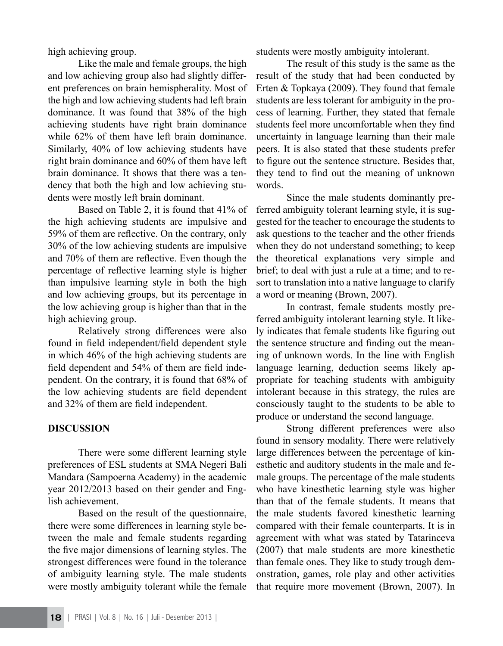high achieving group.

 Like the male and female groups, the high and low achieving group also had slightly different preferences on brain hemispherality. Most of the high and low achieving students had left brain dominance. It was found that 38% of the high achieving students have right brain dominance while  $62\%$  of them have left brain dominance. Similarly, 40% of low achieving students have right brain dominance and 60% of them have left brain dominance. It shows that there was a tendency that both the high and low achieving students were mostly left brain dominant.

Based on Table 2, it is found that 41% of the high achieving students are impulsive and 59% of them are reflective. On the contrary, only 30% of the low achieving students are impulsive and 70% of them are reflective. Even though the percentage of reflective learning style is higher than impulsive learning style in both the high and low achieving groups, but its percentage in the low achieving group is higher than that in the high achieving group.

 Relatively strong differences were also found in field independent/field dependent style in which 46% of the high achieving students are field dependent and 54% of them are field independent. On the contrary, it is found that 68% of the low achieving students are field dependent and 32% of them are field independent.

#### **DISCUSSION**

 There were some different learning style preferences of ESL students at SMA Negeri Bali Mandara (Sampoerna Academy) in the academic year 2012/2013 based on their gender and English achievement.

 Based on the result of the questionnaire, there were some differences in learning style between the male and female students regarding the five major dimensions of learning styles. The strongest differences were found in the tolerance of ambiguity learning style. The male students were mostly ambiguity tolerant while the female students were mostly ambiguity intolerant.

The result of this study is the same as the result of the study that had been conducted by Erten & Topkaya (2009). They found that female students are less tolerant for ambiguity in the process of learning. Further, they stated that female students feel more uncomfortable when they find uncertainty in language learning than their male peers. It is also stated that these students prefer to figure out the sentence structure. Besides that, they tend to find out the meaning of unknown words.

Since the male students dominantly preferred ambiguity tolerant learning style, it is suggested for the teacher to encourage the students to ask questions to the teacher and the other friends when they do not understand something; to keep the theoretical explanations very simple and brief; to deal with just a rule at a time; and to resort to translation into a native language to clarify a word or meaning (Brown, 2007).

In contrast, female students mostly preferred ambiguity intolerant learning style. It likely indicates that female students like figuring out the sentence structure and finding out the meaning of unknown words. In the line with English language learning, deduction seems likely appropriate for teaching students with ambiguity intolerant because in this strategy, the rules are consciously taught to the students to be able to produce or understand the second language.

 Strong different preferences were also found in sensory modality. There were relatively large differences between the percentage of kinesthetic and auditory students in the male and female groups. The percentage of the male students who have kinesthetic learning style was higher than that of the female students. It means that the male students favored kinesthetic learning compared with their female counterparts. It is in agreement with what was stated by Tatarinceva (2007) that male students are more kinesthetic than female ones. They like to study trough demonstration, games, role play and other activities that require more movement (Brown, 2007). In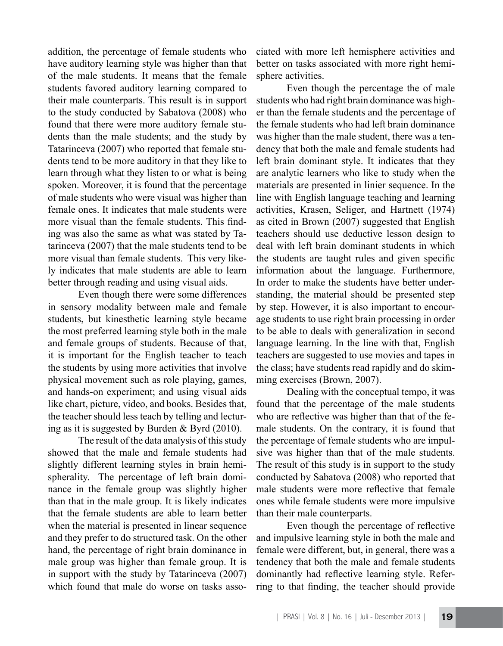addition, the percentage of female students who have auditory learning style was higher than that of the male students. It means that the female students favored auditory learning compared to their male counterparts. This result is in support to the study conducted by Sabatova (2008) who found that there were more auditory female students than the male students; and the study by Tatarinceva (2007) who reported that female students tend to be more auditory in that they like to learn through what they listen to or what is being spoken. Moreover, it is found that the percentage of male students who were visual was higher than female ones. It indicates that male students were more visual than the female students. This finding was also the same as what was stated by Tatarinceva (2007) that the male students tend to be more visual than female students. This very likely indicates that male students are able to learn better through reading and using visual aids.

 Even though there were some differences in sensory modality between male and female students, but kinesthetic learning style became the most preferred learning style both in the male and female groups of students. Because of that, it is important for the English teacher to teach the students by using more activities that involve physical movement such as role playing, games, and hands-on experiment; and using visual aids like chart, picture, video, and books. Besides that, the teacher should less teach by telling and lecturing as it is suggested by Burden & Byrd (2010).

The result of the data analysis of this study showed that the male and female students had slightly different learning styles in brain hemispherality. The percentage of left brain dominance in the female group was slightly higher than that in the male group. It is likely indicates that the female students are able to learn better when the material is presented in linear sequence and they prefer to do structured task. On the other hand, the percentage of right brain dominance in male group was higher than female group. It is in support with the study by Tatarinceva (2007) which found that male do worse on tasks associated with more left hemisphere activities and better on tasks associated with more right hemisphere activities.

Even though the percentage the of male students who had right brain dominance was higher than the female students and the percentage of the female students who had left brain dominance was higher than the male student, there was a tendency that both the male and female students had left brain dominant style. It indicates that they are analytic learners who like to study when the materials are presented in linier sequence. In the line with English language teaching and learning activities, Krasen, Seliger, and Hartnett (1974) as cited in Brown (2007) suggested that English teachers should use deductive lesson design to deal with left brain dominant students in which the students are taught rules and given specific information about the language. Furthermore, In order to make the students have better understanding, the material should be presented step by step. However, it is also important to encourage students to use right brain processing in order to be able to deals with generalization in second language learning. In the line with that, English teachers are suggested to use movies and tapes in the class; have students read rapidly and do skimming exercises (Brown, 2007).

 Dealing with the conceptual tempo, it was found that the percentage of the male students who are reflective was higher than that of the female students. On the contrary, it is found that the percentage of female students who are impulsive was higher than that of the male students. The result of this study is in support to the study conducted by Sabatova (2008) who reported that male students were more reflective that female ones while female students were more impulsive than their male counterparts.

 Even though the percentage of reflective and impulsive learning style in both the male and female were different, but, in general, there was a tendency that both the male and female students dominantly had reflective learning style. Referring to that finding, the teacher should provide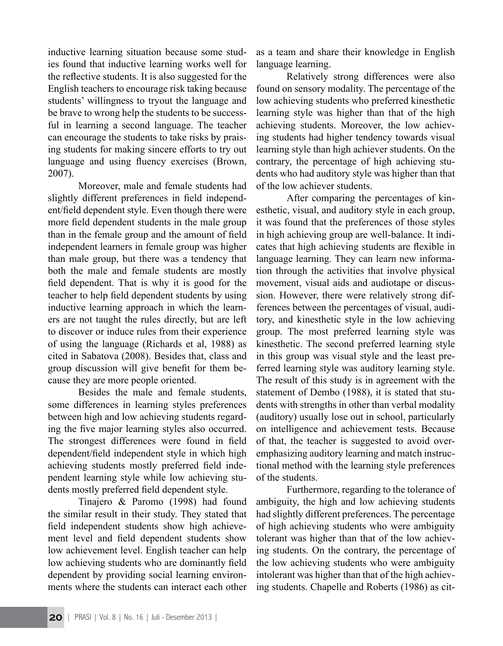inductive learning situation because some studies found that inductive learning works well for the reflective students. It is also suggested for the English teachers to encourage risk taking because students' willingness to tryout the language and be brave to wrong help the students to be successful in learning a second language. The teacher can encourage the students to take risks by praising students for making sincere efforts to try out language and using fluency exercises (Brown, 2007).

Moreover, male and female students had slightly different preferences in field independent/field dependent style. Even though there were more field dependent students in the male group than in the female group and the amount of field independent learners in female group was higher than male group, but there was a tendency that both the male and female students are mostly field dependent. That is why it is good for the teacher to help field dependent students by using inductive learning approach in which the learners are not taught the rules directly, but are left to discover or induce rules from their experience of using the language (Richards et al, 1988) as cited in Sabatova (2008). Besides that, class and group discussion will give benefit for them because they are more people oriented.

Besides the male and female students, some differences in learning styles preferences between high and low achieving students regarding the five major learning styles also occurred. The strongest differences were found in field dependent/field independent style in which high achieving students mostly preferred field independent learning style while low achieving students mostly preferred field dependent style.

Tinajero & Paromo (1998) had found the similar result in their study. They stated that field independent students show high achievement level and field dependent students show low achievement level. English teacher can help low achieving students who are dominantly field dependent by providing social learning environments where the students can interact each other

as a team and share their knowledge in English language learning.

 Relatively strong differences were also found on sensory modality. The percentage of the low achieving students who preferred kinesthetic learning style was higher than that of the high achieving students. Moreover, the low achieving students had higher tendency towards visual learning style than high achiever students. On the contrary, the percentage of high achieving students who had auditory style was higher than that of the low achiever students.

After comparing the percentages of kinesthetic, visual, and auditory style in each group, it was found that the preferences of those styles in high achieving group are well-balance. It indicates that high achieving students are flexible in language learning. They can learn new information through the activities that involve physical movement, visual aids and audiotape or discussion. However, there were relatively strong differences between the percentages of visual, auditory, and kinesthetic style in the low achieving group. The most preferred learning style was kinesthetic. The second preferred learning style in this group was visual style and the least preferred learning style was auditory learning style. The result of this study is in agreement with the statement of Dembo (1988), it is stated that students with strengths in other than verbal modality (auditory) usually lose out in school, particularly on intelligence and achievement tests. Because of that, the teacher is suggested to avoid overemphasizing auditory learning and match instructional method with the learning style preferences of the students.

Furthermore, regarding to the tolerance of ambiguity, the high and low achieving students had slightly different preferences. The percentage of high achieving students who were ambiguity tolerant was higher than that of the low achieving students. On the contrary, the percentage of the low achieving students who were ambiguity intolerant was higher than that of the high achieving students. Chapelle and Roberts (1986) as cit-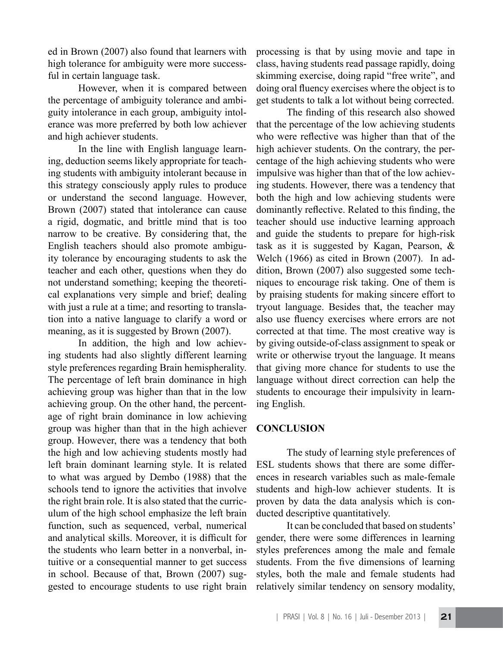ed in Brown (2007) also found that learners with high tolerance for ambiguity were more successful in certain language task.

 However, when it is compared between the percentage of ambiguity tolerance and ambiguity intolerance in each group, ambiguity intolerance was more preferred by both low achiever and high achiever students.

 In the line with English language learning, deduction seems likely appropriate for teaching students with ambiguity intolerant because in this strategy consciously apply rules to produce or understand the second language. However, Brown (2007) stated that intolerance can cause a rigid, dogmatic, and brittle mind that is too narrow to be creative. By considering that, the English teachers should also promote ambiguity tolerance by encouraging students to ask the teacher and each other, questions when they do not understand something; keeping the theoretical explanations very simple and brief; dealing with just a rule at a time; and resorting to translation into a native language to clarify a word or meaning, as it is suggested by Brown (2007).

 In addition, the high and low achieving students had also slightly different learning style preferences regarding Brain hemispherality. The percentage of left brain dominance in high achieving group was higher than that in the low achieving group. On the other hand, the percentage of right brain dominance in low achieving group was higher than that in the high achiever group. However, there was a tendency that both the high and low achieving students mostly had left brain dominant learning style. It is related to what was argued by Dembo (1988) that the schools tend to ignore the activities that involve the right brain role. It is also stated that the curriculum of the high school emphasize the left brain function, such as sequenced, verbal, numerical and analytical skills. Moreover, it is difficult for the students who learn better in a nonverbal, intuitive or a consequential manner to get success in school. Because of that, Brown (2007) suggested to encourage students to use right brain

processing is that by using movie and tape in class, having students read passage rapidly, doing skimming exercise, doing rapid "free write", and doing oral fluency exercises where the object is to get students to talk a lot without being corrected.

 The finding of this research also showed that the percentage of the low achieving students who were reflective was higher than that of the high achiever students. On the contrary, the percentage of the high achieving students who were impulsive was higher than that of the low achieving students. However, there was a tendency that both the high and low achieving students were dominantly reflective. Related to this finding, the teacher should use inductive learning approach and guide the students to prepare for high-risk task as it is suggested by Kagan, Pearson, & Welch (1966) as cited in Brown (2007). In addition, Brown (2007) also suggested some techniques to encourage risk taking. One of them is by praising students for making sincere effort to tryout language. Besides that, the teacher may also use fluency exercises where errors are not corrected at that time. The most creative way is by giving outside-of-class assignment to speak or write or otherwise tryout the language. It means that giving more chance for students to use the language without direct correction can help the students to encourage their impulsivity in learning English.

## **CONCLUSION**

The study of learning style preferences of ESL students shows that there are some differences in research variables such as male-female students and high-low achiever students. It is proven by data the data analysis which is conducted descriptive quantitatively.

It can be concluded that based on students' gender, there were some differences in learning styles preferences among the male and female students. From the five dimensions of learning styles, both the male and female students had relatively similar tendency on sensory modality,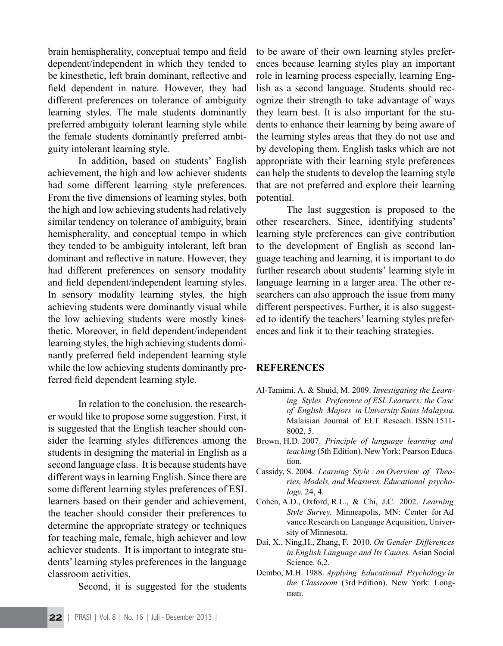brain hemispherality, conceptual tempo and field dependent/independent in which they tended to be kinesthetic, left brain dominant, reflective and field dependent in nature. However, they had different preferences on tolerance of ambiguity learning styles. The male students dominantly preferred ambiguity tolerant learning style while the female students dominantly preferred ambiguity intolerant learning style.

In addition, based on students' English achievement, the high and low achiever students had some different learning style preferences. From the five dimensions of learning styles, both the high and low achieving students had relatively similar tendency on tolerance of ambiguity, brain hemispherality, and conceptual tempo in which they tended to be ambiguity intolerant, left bran dominant and reflective in nature. However, they had different preferences on sensory modality and field dependent/independent learning styles. In sensory modality learning styles, the high achieving students were dominantly visual while the low achieving students were mostly kinesthetic. Moreover, in field dependent/independent learning styles, the high achieving students dominantly preferred field independent learning style while the low achieving students dominantly preferred field dependent learning style.

In relation to the conclusion, the researcher would like to propose some suggestion. First, it is suggested that the English teacher should consider the learning styles differences among the students in designing the material in English as a second language class. It is because students have different ways in learning English. Since there are some different learning styles preferences of ESL learners based on their gender and achievement, the teacher should consider their preferences to determine the appropriate strategy or techniques for teaching male, female, high achiever and low achiever students. It is important to integrate students' learning styles preferences in the language classroom activities.

Second, it is suggested for the students

to be aware of their own learning styles preferences because learning styles play an important role in learning process especially, learning English as a second language. Students should recognize their strength to take advantage of ways they learn best. It is also important for the students to enhance their learning by being aware of the learning styles areas that they do not use and by developing them. English tasks which are not appropriate with their learning style preferences can help the students to develop the learning style that are not preferred and explore their learning potential.

The last suggestion is proposed to the other researchers. Since, identifying students' learning style preferences can give contribution to the development of English as second language teaching and learning, it is important to do further research about students' learning style in language learning in a larger area. The other researchers can also approach the issue from many different perspectives. Further, it is also suggested to identify the teachers' learning styles preferences and link it to their teaching strategies.

## **REFERENCES**

- Al-Tamimi, A. & Shuid, M. 2009. *Investigating the Learning Styles Preference of ESL Learners: the Case of English Majors in University Sains Malaysia.*  Malaisian Journal of ELT Reseach. ISSN 1511- 8002, 5.
- Brown, H.D. 2007. *Principle of language learning and teaching* (5th Edition). New York: Pearson Education.
- Cassidy, S. 2004. *Learning Style : an Overview of Theories, Models, and Measures. Educational psychology.* 24, 4.
- Cohen, A.D., Oxford, R.L., & Chi, J.C. 2002. *Learning Style Survey.* Minneapolis, MN: Center for Ad vance Research on Language Acquisition, University of Minnesota.
- Dai, X., Ning,H., Zhang, F. 2010. *On Gender Differences in English Language and Its Causes.* Asian Social Science. 6,2.
- Dembo, M.H. 1988. *Applying Educational Psychology in the Classroom* (3rd Edition). New York: Longman.